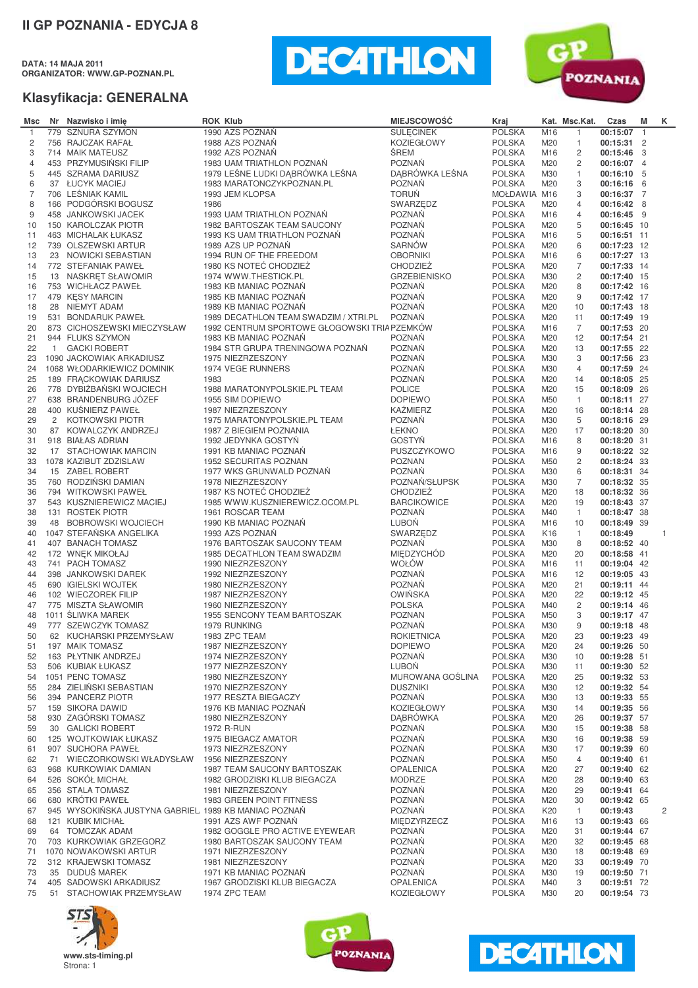**DATA: 14 MAJA 2011 ORGANIZATOR: WWW.GP-POZNAN.PL**





| Msc            | Nr             | Nazwisko i imie                                       | <b>ROK Klub</b>                              | <b>MIEJSCOWOŚĆ</b>      | Kraj          |                 | Kat. Msc.Kat.  | Czas        | M | Κ            |
|----------------|----------------|-------------------------------------------------------|----------------------------------------------|-------------------------|---------------|-----------------|----------------|-------------|---|--------------|
| $\overline{1}$ | 779            | <b>SZNURA SZYMON</b>                                  | 1990 AZS POZNAŃ                              | <b>SULECINEK</b>        | <b>POLSKA</b> | M16             | $\mathbf{1}$   | 00:15:07 1  |   |              |
| $\overline{c}$ |                | 756 RAJCZAK RAFAŁ                                     | 1988 AZS POZNAŃ                              | <b>KOZIEGŁOWY</b>       | <b>POLSKA</b> | M20             | $\mathbf{1}$   | 00:15:31 2  |   |              |
| 3              |                | 714 MAIK MATEUSZ                                      | 1992 AZS POZNAŃ                              | ŚREM                    | <b>POLSKA</b> | M16             | $\overline{c}$ | 00:15:46 3  |   |              |
| $\overline{4}$ |                | 453 PRZYMUSIŃSKI FILIP                                | 1983 UAM TRIATHLON POZNAŃ                    | <b>POZNAŃ</b>           | <b>POLSKA</b> | M20             | 2              | 00:16:07 4  |   |              |
| 5              |                | 445 SZRAMA DARIUSZ                                    | 1979 LEŚNE LUDKI DĄBRÓWKA LEŚNA              | DĄBRÓWKA LEŚNA          | <b>POLSKA</b> | M30             | $\mathbf{1}$   | 00:16:10 5  |   |              |
| 6              |                | 37 ŁUCYK MACIEJ                                       | 1983 MARATONCZYKPOZNAN.PL                    | <b>POZNAŃ</b>           | <b>POLSKA</b> | M20             | 3              | 00:16:16 6  |   |              |
| $\overline{7}$ |                | 706 LEŚNIAK KAMIL                                     | 1993 JEM KLOPSA                              | <b>TORUŃ</b>            | MOŁDAWIA M16  |                 | 3              | 00:16:37 7  |   |              |
| 8              |                | 166 PODGÓRSKI BOGUSZ                                  | 1986                                         | SWARZEDZ                | <b>POLSKA</b> | M20             | $\overline{4}$ | 00:16:42 8  |   |              |
| 9              |                | 458 JANKOWSKI JACEK                                   | 1993 UAM TRIATHLON POZNAŃ                    | <b>POZNAŃ</b>           | <b>POLSKA</b> | M16             | 4              | 00:16:45 9  |   |              |
| 10             |                | 150 KAROLCZAK PIOTR                                   | 1982 BARTOSZAK TEAM SAUCONY                  | <b>POZNAŃ</b>           | <b>POLSKA</b> | M20             | 5              | 00:16:45 10 |   |              |
| 11             |                | 463 MICHALAK ŁUKASZ                                   | 1993 KS UAM TRIATHLON POZNAŃ                 | <b>POZNAŃ</b>           | <b>POLSKA</b> | M16             | 5              | 00:16:51 11 |   |              |
| 12             |                | 739 OLSZEWSKI ARTUR                                   | 1989 AZS UP POZNAŃ                           | <b>SARNÓW</b>           | <b>POLSKA</b> | M20             | 6              | 00:17:23 12 |   |              |
| 13             |                | 23 NOWICKI SEBASTIAN                                  | 1994 RUN OF THE FREEDOM                      | <b>OBORNIKI</b>         | <b>POLSKA</b> | M16             | 6              | 00:17:27 13 |   |              |
| 14             |                | 772 STEFANIAK PAWEŁ                                   | 1980 KS NOTEĆ CHODZIEŻ                       | <b>CHODZIEŻ</b>         | <b>POLSKA</b> | M20             | 7              | 00:17:33 14 |   |              |
| 15             |                | 13 NASKRET SŁAWOMIR                                   | 1974 WWW.THESTICK.PL                         | <b>GRZEBIENISKO</b>     | <b>POLSKA</b> | M30             | $\overline{c}$ | 00:17:40 15 |   |              |
| 16             |                | 753 WICHŁACZ PAWEŁ                                    | 1983 KB MANIAC POZNAN                        | <b>POZNAŃ</b>           | <b>POLSKA</b> | M20             | 8              | 00:17:42 16 |   |              |
| 17             |                | 479 KĘSY MARCIN                                       | 1985 KB MANIAC POZNAN                        | <b>POZNAŃ</b>           | <b>POLSKA</b> | M20             | 9              | 00:17:42 17 |   |              |
| 18             | 28             | NIEMYT ADAM                                           | 1989 KB MANIAC POZNAN                        | <b>POZNAŃ</b>           | <b>POLSKA</b> | M20             | 10             | 00:17:43 18 |   |              |
| 19             | 531            | <b>BONDARUK PAWEŁ</b>                                 | 1989 DECATHLON TEAM SWADZIM / XTRI.PL        | <b>POZNAŃ</b>           | <b>POLSKA</b> | M20             | 11             | 00:17:49 19 |   |              |
| 20             |                | 873 CICHOSZEWSKI MIECZYSŁAW                           | 1992 CENTRUM SPORTOWE GŁOGOWSKI TRIA PZEMKÓW |                         | <b>POLSKA</b> | M16             | 7              | 00:17:53 20 |   |              |
| 21             |                | 944 FLUKS SZYMON                                      | 1983 KB MANIAC POZNAN                        | <b>POZNAŃ</b>           | <b>POLSKA</b> | M20             | 12             | 00:17:54 21 |   |              |
| 22             | $\overline{1}$ | <b>GACKI ROBERT</b>                                   | 1984 STR GRUPA TRENINGOWA POZNAŃ             | <b>POZNAŃ</b>           | <b>POLSKA</b> | M20             | 13             | 00:17:55 22 |   |              |
| 23             |                | 1090 JACKOWIAK ARKADIUSZ                              | 1975 NIEZRZESZONY                            | <b>POZNAŃ</b>           | <b>POLSKA</b> | M30             | 3              | 00:17:56 23 |   |              |
| 24             |                | 1068 WŁODARKIEWICZ DOMINIK                            | 1974 VEGE RUNNERS                            | <b>POZNAŃ</b>           | <b>POLSKA</b> | M30             | $\overline{4}$ | 00:17:59 24 |   |              |
| 25             |                | 189 FRACKOWIAK DARIUSZ                                | 1983                                         | <b>POZNAŃ</b>           | <b>POLSKA</b> | M20             | 14             | 00:18:05 25 |   |              |
| 26             |                | 778 DYBIŻBAŃSKI WOJCIECH                              | 1988 MARATONYPOLSKIE.PL TEAM                 | <b>POLICE</b>           | <b>POLSKA</b> | M20             | 15             | 00:18:09 26 |   |              |
| 27             |                | 638 BRANDENBURG JÓZEF                                 | 1955 SIM DOPIEWO                             | <b>DOPIEWO</b>          | <b>POLSKA</b> | M50             | 1              | 00:18:11 27 |   |              |
| 28             |                | 400 KUŚNIERZ PAWEŁ                                    | 1987 NIEZRZESZONY                            | <b>KAŹMIERZ</b>         | <b>POLSKA</b> | M20             | 16             | 00:18:14 28 |   |              |
| 29             | $\overline{2}$ | <b>KOTKOWSKI PIOTR</b>                                | 1975 MARATONYPOLSKIE.PL TEAM                 | <b>POZNAŃ</b>           | <b>POLSKA</b> | M30             | 5              | 00:18:16 29 |   |              |
| 30             |                | 87 KOWALCZYK ANDRZEJ                                  | 1987 Z BIEGIEM POZNANIA                      | ŁEKNO                   | <b>POLSKA</b> | M20             | 17             | 00:18:20 30 |   |              |
| 31             |                | 918 BIAŁAS ADRIAN                                     | 1992 JEDYNKA GOSTYŃ                          | <b>GOSTYŃ</b>           | <b>POLSKA</b> | M16             | 8              | 00:18:20 31 |   |              |
| 32             |                | 17 STACHOWIAK MARCIN                                  | 1991 KB MANIAC POZNAN                        | PUSZCZYKOWO             | <b>POLSKA</b> | M16             | 9              | 00:18:22 32 |   |              |
| 33             |                | 1078 KAZIBUT ZDZISLAW                                 | 1952 SECURITAS POZNAN                        | <b>POZNAN</b>           | <b>POLSKA</b> | M50             | 2              | 00:18:24 33 |   |              |
| 34             |                | 15 ZABEL ROBERT                                       | 1977 WKS GRUNWALD POZNAŃ                     | <b>POZNAŃ</b>           | <b>POLSKA</b> | M30             | 6              | 00:18:31 34 |   |              |
| 35             |                | 760 RODZINSKI DAMIAN                                  | 1978 NIEZRZESZONY                            | POZNAŃ/SŁUPSK           | <b>POLSKA</b> | M30             | $\overline{7}$ | 00:18:32 35 |   |              |
| 36             |                | 794 WITKOWSKI PAWEŁ                                   | 1987 KS NOTEĆ CHODZIEŻ                       | <b>CHODZIEŻ</b>         | <b>POLSKA</b> | M20             | 18             | 00:18:32 36 |   |              |
| 37             |                | 543 KUSZNIEREWICZ MACIEJ                              | 1985 WWW.KUSZNIEREWICZ.OCOM.PL               | <b>BARCIKOWICE</b>      | <b>POLSKA</b> | M20             | 19             | 00:18:43 37 |   |              |
| 38             |                | 131 ROSTEK PIOTR                                      | 1961 ROSCAR TEAM                             | <b>POZNAŃ</b>           | <b>POLSKA</b> | M40             | 1              | 00:18:47 38 |   |              |
| 39             | 48             | <b>BOBROWSKI WOJCIECH</b>                             | 1990 KB MANIAC POZNAN                        | LUBOŃ                   | <b>POLSKA</b> | M16             | 10             | 00:18:49 39 |   |              |
| 40             |                | 1047 STEFAŃSKA ANGELIKA                               | 1993 AZS POZNAŃ                              | SWARZEDZ                | <b>POLSKA</b> | K <sub>16</sub> | 1              | 00:18:49    |   | $\mathbf{1}$ |
| 41             |                | 407 BANACH TOMASZ                                     | 1976 BARTOSZAK SAUCONY TEAM                  | <b>POZNAŃ</b>           | <b>POLSKA</b> | M30             | 8              | 00:18:52 40 |   |              |
| 42             |                | 172 WNEK MIKOŁAJ                                      | 1985 DECATHLON TEAM SWADZIM                  | <b>MIEDZYCHÓD</b>       | <b>POLSKA</b> | M20             | 20             | 00:18:58 41 |   |              |
| 43             |                | 741 PACH TOMASZ                                       | 1990 NIEZRZESZONY                            | WOŁÓW                   | <b>POLSKA</b> | M16             | 11             | 00:19:04 42 |   |              |
| 44             |                | 398 JANKOWSKI DAREK                                   | 1992 NIEZRZESZONY                            | <b>POZNAŃ</b>           | <b>POLSKA</b> | M16             | 12             | 00:19:05 43 |   |              |
| 45             |                | 690 IGIELSKI WOJTEK                                   | 1980 NIEZRZESZONY                            | <b>POZNAŃ</b>           | <b>POLSKA</b> | M20             | 21             | 00:19:11 44 |   |              |
| 46             |                | 102 WIECZOREK FILIP                                   | 1987 NIEZRZESZONY                            | <b>OWIŃSKA</b>          | <b>POLSKA</b> | M20             | 22             | 00:19:12 45 |   |              |
| 47             |                | 775 MISZTA SŁAWOMIR                                   | 1960 NIEZRZESZONY                            | <b>POLSKA</b>           | <b>POLSKA</b> | M40             | 2              | 00:19:14 46 |   |              |
| 48             |                | 1011 ŚLIWKA MAREK                                     | 1955 SENCONY TEAM BARTOSZAK                  | <b>POZNAN</b>           | <b>POLSKA</b> | M50             | 3              | 00:19:17 47 |   |              |
| 49             |                | 777 SZEWCZYK TOMASZ                                   | 1979 RUNKING                                 | <b>POZNAŃ</b>           | <b>POLSKA</b> | M30             | 9              | 00:19:18 48 |   |              |
| 50             | 62             | KUCHARSKI PRZEMYSŁAW                                  | 1983 ZPC TEAM                                | <b>ROKIETNICA</b>       | <b>POLSKA</b> | M20             | 23             | 00:19:23 49 |   |              |
| 51             |                | 197 MAIK TOMASZ                                       | 1987 NIEZRZESZONY                            | <b>DOPIEWO</b>          | <b>POLSKA</b> | M20             | 24             | 00:19:26 50 |   |              |
| 52             |                | 163 PŁYTNIK ANDRZEJ                                   | 1974 NIEZRZESZONY                            | <b>POZNAŃ</b>           | <b>POLSKA</b> | M30             | 10             | 00:19:28 51 |   |              |
| 53             |                | 506 KUBIAK ŁUKASZ                                     | 1977 NIEZRZESZONY                            | LUBOŃ                   | <b>POLSKA</b> | M30             | 11             | 00:19:30 52 |   |              |
| 54             |                | 1051 PENC TOMASZ                                      | 1980 NIEZRZESZONY                            | <b>MUROWANA GOŚLINA</b> | <b>POLSKA</b> | M20             | 25             | 00:19:32 53 |   |              |
| 55             |                | 284 ZIELIŃSKI SEBASTIAN                               | 1970 NIEZRZESZONY                            | <b>DUSZNIKI</b>         | <b>POLSKA</b> | M30             | 12             | 00:19:32 54 |   |              |
| 56             |                | 394 PANCERZ PIOTR                                     | 1977 RESZTA BIEGACZY                         | <b>POZNAŃ</b>           | <b>POLSKA</b> | M30             | 13             | 00:19:33 55 |   |              |
| 57             |                | 159 SIKORA DAWID                                      | 1976 KB MANIAC POZNAŃ                        | <b>KOZIEGŁOWY</b>       | <b>POLSKA</b> | M30             | 14             | 00:19:35 56 |   |              |
| 58             |                | 930 ZAGÓRSKI TOMASZ                                   | 1980 NIEZRZESZONY                            | <b>DABRÓWKA</b>         | <b>POLSKA</b> | M20             | 26             | 00:19:37 57 |   |              |
| 59             |                | 30 GALICKI ROBERT                                     | 1972 R-RUN                                   | <b>POZNAŃ</b>           | <b>POLSKA</b> | M30             | 15             | 00:19:38 58 |   |              |
| 60             |                | 125 WOJTKOWIAK ŁUKASZ                                 | 1975 BIEGACZ AMATOR                          | POZNAŃ                  | <b>POLSKA</b> | M30             | 16             | 00:19:38 59 |   |              |
| 61             |                | 907 SUCHORA PAWEŁ                                     | 1973 NIEZRZESZONY                            | <b>POZNAŃ</b>           | <b>POLSKA</b> | M30             | 17             | 00:19:39 60 |   |              |
| 62             | 71             | WIECZORKOWSKI WŁADYSŁAW                               | 1956 NIEZRZESZONY                            | <b>POZNAŃ</b>           | <b>POLSKA</b> | M50             | 4              | 00:19:40 61 |   |              |
| 63             |                | 968 KURKOWIAK DAMIAN                                  | 1987 TEAM SAUCONY BARTOSZAK                  | <b>OPALENICA</b>        | <b>POLSKA</b> | M20             | 27             | 00:19:40 62 |   |              |
| 64             |                | 526 SOKÓŁ MICHAŁ                                      | 1982 GRODZISKI KLUB BIEGACZA                 | <b>MODRZE</b>           | <b>POLSKA</b> | M20             | 28             | 00:19:40 63 |   |              |
| 65             |                | 356 STALA TOMASZ                                      | 1981 NIEZRZESZONY                            | <b>POZNAŃ</b>           | <b>POLSKA</b> | M20             | 29             | 00:19:41 64 |   |              |
| 66             |                | 680 KRÓTKI PAWEŁ                                      | 1983 GREEN POINT FITNESS                     | <b>POZNAŃ</b>           | <b>POLSKA</b> | M20             | 30             | 00:19:42 65 |   |              |
| 67             |                | 945 WYSOKIŃSKA JUSTYNA GABRIEL, 1989 KB MANIAC POZNAŃ |                                              | <b>POZNAŃ</b>           | <b>POLSKA</b> | K20             | $\mathbf{1}$   | 00:19:43    |   | 2            |
| 68             |                | 121 KUBIK MICHAŁ                                      | 1991 AZS AWF POZNAŃ                          | MIEDZYRZECZ             | <b>POLSKA</b> | M16             | 13             | 00:19:43 66 |   |              |
| 69             |                | 64 TOMCZAK ADAM                                       | 1982 GOGGLE PRO ACTIVE EYEWEAR               | <b>POZNAŃ</b>           | <b>POLSKA</b> | M20             | 31             | 00:19:44 67 |   |              |
| 70             |                | 703 KURKOWIAK GRZEGORZ                                | 1980 BARTOSZAK SAUCONY TEAM                  | <b>POZNAŃ</b>           | <b>POLSKA</b> | M20             | 32             | 00:19:45 68 |   |              |
| 71             |                | 1070 NOWAKOWSKI ARTUR                                 | 1971 NIEZRZESZONY                            | <b>POZNAŃ</b>           | <b>POLSKA</b> | M30             | 18             | 00:19:48 69 |   |              |
| 72             |                | 312 KRAJEWSKI TOMASZ                                  | 1981 NIEZRZESZONY                            | <b>POZNAŃ</b>           | <b>POLSKA</b> | M20             | 33             | 00:19:49 70 |   |              |
| 73             |                | 35 DUDUŚ MAREK<br>405 SADOWSKI ARKADIUSZ              | 1971 KB MANIAC POZNAŃ                        | <b>POZNAŃ</b>           | <b>POLSKA</b> | M30<br>M40      | 19<br>3        | 00:19:50 71 |   |              |
| 74             |                |                                                       | 1967 GRODZISKI KLUB BIEGACZA                 | <b>OPALENICA</b>        | <b>POLSKA</b> |                 |                | 00:19:51 72 |   |              |
| 75             |                | 51 STACHOWIAK PRZEMYSŁAW                              | 1974 ZPC TEAM                                | <b>KOZIEGŁOWY</b>       | <b>POLSKA</b> | M30             | 20             | 00:19:54 73 |   |              |





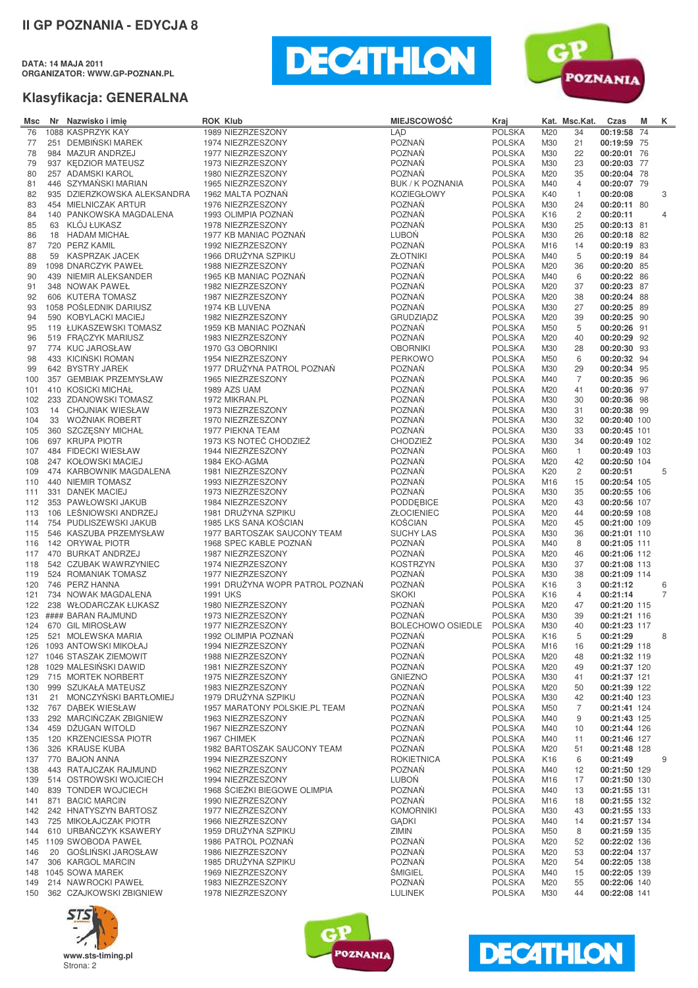**DATA: 14 MAJA 2011 ORGANIZATOR: WWW.GP-POZNAN.PL**





| Msc | Nr Nazwisko i imie          | <b>ROK Klub</b>                 | <b>MIEJSCOWOŚĆ</b>       | Kraj          |                 | Kat. Msc.Kat.  | Czas         | М | K.             |
|-----|-----------------------------|---------------------------------|--------------------------|---------------|-----------------|----------------|--------------|---|----------------|
| 76  | 1088 KASPRZYK KAY           | 1989 NIEZRZESZONY               | LAD                      | <b>POLSKA</b> | M20             | 34             | 00:19:58 74  |   |                |
| 77  | 251 DEMBIŃSKI MAREK         | 1974 NIEZRZESZONY               | <b>POZNAŃ</b>            | <b>POLSKA</b> | M30             | 21             | 00:19:59 75  |   |                |
| 78  | 984 MAZUR ANDRZEJ           | 1977 NIEZRZESZONY               | POZNAŃ                   | <b>POLSKA</b> | M30             | 22             | 00:20:01 76  |   |                |
| 79  | 937 KEDZIOR MATEUSZ         | 1973 NIEZRZESZONY               | <b>POZNAŃ</b>            | <b>POLSKA</b> | M30             | 23             | 00:20:03 77  |   |                |
| 80  | 257 ADAMSKI KAROL           | 1980 NIEZRZESZONY               | <b>POZNAŃ</b>            | <b>POLSKA</b> | M20             | 35             | 00:20:04 78  |   |                |
| 81  | 446 SZYMAŃSKI MARIAN        | 1965 NIEZRZESZONY               | <b>BUK / K POZNANIA</b>  | <b>POLSKA</b> | M40             | 4              | 00:20:07 79  |   |                |
| 82  | 935 DZIERZKOWSKA ALEKSANDRA | 1962 MALTA POZNAŃ               | <b>KOZIEGŁOWY</b>        | <b>POLSKA</b> | K40             | $\mathbf{1}$   | 00:20:08     |   | 3              |
| 83  | 454 MIELNICZAK ARTUR        | 1976 NIEZRZESZONY               | <b>POZNAŃ</b>            | <b>POLSKA</b> | M30             | 24             | 00:20:11 80  |   |                |
| 84  | 140 PANKOWSKA MAGDALENA     | 1993 OLIMPIA POZNAŃ             | POZNAŃ                   | <b>POLSKA</b> | K <sub>16</sub> | $\overline{c}$ | 00:20:11     |   | $\overline{4}$ |
| 85  | 63 KLÓJ ŁUKASZ              | 1978 NIEZRZESZONY               | <b>POZNAŃ</b>            | <b>POLSKA</b> | M30             | 25             | 00:20:13 81  |   |                |
| 86  | 18 HADAM MICHAŁ             | 1977 KB MANIAC POZNAN           | LUBOŃ                    | <b>POLSKA</b> | M30             | 26             | 00:20:18 82  |   |                |
| 87  | 720 PERZ KAMIL              | 1992 NIEZRZESZONY               | <b>POZNAŃ</b>            | <b>POLSKA</b> | M16             | 14             | 00:20:19 83  |   |                |
| 88  | 59 KASPRZAK JACEK           | 1966 DRUŻYNA SZPIKU             | <b>ZŁOTNIKI</b>          | <b>POLSKA</b> | M40             | 5              | 00:20:19 84  |   |                |
| 89  | 1098 DNARCZYK PAWEŁ         | 1988 NIEZRZESZONY               | <b>POZNAŃ</b>            | <b>POLSKA</b> | M20             | 36             | 00:20:20 85  |   |                |
| 90  | 439 NIEMIR ALEKSANDER       | 1965 KB MANIAC POZNAN           | <b>POZNAŃ</b>            | <b>POLSKA</b> | M40             | 6              | 00:20:22 86  |   |                |
| 91  | 348 NOWAK PAWEŁ             | 1982 NIEZRZESZONY               | POZNAŃ                   | <b>POLSKA</b> | M20             | 37             | 00:20:23 87  |   |                |
| 92  | 606 KUTERA TOMASZ           | 1987 NIEZRZESZONY               | <b>POZNAŃ</b>            | <b>POLSKA</b> | M20             | 38             | 00:20:24 88  |   |                |
| 93  | 1058 POŚLEDNIK DARIUSZ      | 1974 KB LUVENA                  | <b>POZNAŃ</b>            | <b>POLSKA</b> | M30             | 27             | 00:20:25 89  |   |                |
| 94  | 590 KOBYLACKI MACIEJ        | 1982 NIEZRZESZONY               | <b>GRUDZIADZ</b>         | <b>POLSKA</b> | M20             | 39             | 00:20:25 90  |   |                |
| 95  | 119 ŁUKASZEWSKI TOMASZ      | 1959 KB MANIAC POZNAŃ           | <b>POZNAŃ</b>            | <b>POLSKA</b> | M50             | 5              | 00:20:26 91  |   |                |
| 96  | 519 FRACZYK MARIUSZ         | 1983 NIEZRZESZONY               | <b>POZNAŃ</b>            | <b>POLSKA</b> | M20             | 40             | 00:20:29 92  |   |                |
| 97  | 774 KUC JAROSŁAW            | 1970 G3 OBORNIKI                | <b>OBORNIKI</b>          | <b>POLSKA</b> | M30             | 28             | 00:20:30 93  |   |                |
| 98  | 433 KICIŃSKI ROMAN          | 1954 NIEZRZESZONY               | <b>PERKOWO</b>           | <b>POLSKA</b> | M50             | 6              | 00:20:32 94  |   |                |
| 99  | 642 BYSTRY JAREK            | 1977 DRUŻYNA PATROL POZNAŃ      | <b>POZNAŃ</b>            | <b>POLSKA</b> | M30             | 29             | 00:20:34 95  |   |                |
| 100 | 357 GEMBIAK PRZEMYSŁAW      | 1965 NIEZRZESZONY               | <b>POZNAŃ</b>            | <b>POLSKA</b> | M40             | 7              | 00:20:35 96  |   |                |
| 101 | 410 KOSICKI MICHAŁ          | 1989 AZS UAM                    | <b>POZNAŃ</b>            | <b>POLSKA</b> | M20             | 41             | 00:20:36 97  |   |                |
| 102 | 233 ZDANOWSKI TOMASZ        | 1972 MIKRAN.PL                  | POZNAŃ                   | <b>POLSKA</b> | M30             | 30             | 00:20:36 98  |   |                |
| 103 | 14 CHOJNIAK WIESŁAW         | 1973 NIEZRZESZONY               | <b>POZNAŃ</b>            | <b>POLSKA</b> | M30             | 31             | 00:20:38 99  |   |                |
| 104 | 33 WOŹNIAK ROBERT           | 1970 NIEZRZESZONY               | POZNAŃ                   | <b>POLSKA</b> | M30             | 32             | 00:20:40 100 |   |                |
| 105 | 360 SZCZESNY MICHAŁ         | 1977 PIEKNA TEAM                | <b>POZNAŃ</b>            | <b>POLSKA</b> | M30             | 33             | 00:20:45 101 |   |                |
| 106 | 697 KRUPA PIOTR             | 1973 KS NOTEĆ CHODZIEŻ          | <b>CHODZIEŻ</b>          | <b>POLSKA</b> | M30             | 34             | 00:20:49 102 |   |                |
| 107 | 484 FIDECKI WIESŁAW         | 1944 NIEZRZESZONY               | <b>POZNAŃ</b>            | <b>POLSKA</b> | M60             | $\mathbf{1}$   | 00:20:49 103 |   |                |
| 108 | 247 KOŁOWSKI MACIEJ         | 1984 EKO-AGMA                   | <b>POZNAŃ</b>            | <b>POLSKA</b> | M20             | 42             | 00:20:50 104 |   |                |
| 109 | 474 KARBOWNIK MAGDALENA     | 1981 NIEZRZESZONY               | <b>POZNAŃ</b>            | <b>POLSKA</b> | K20             | 2              | 00:20:51     |   | 5              |
| 110 | 440 NIEMIR TOMASZ           | 1993 NIEZRZESZONY               | <b>POZNAŃ</b>            | <b>POLSKA</b> | M16             | 15             | 00:20:54 105 |   |                |
| 111 | 331 DANEK MACIEJ            | 1973 NIEZRZESZONY               | <b>POZNAŃ</b>            | <b>POLSKA</b> | M30             | 35             | 00:20:55 106 |   |                |
| 112 | 353 PAWŁOWSKI JAKUB         | 1984 NIEZRZESZONY               | PODDEBICE                | <b>POLSKA</b> | M20             | 43             | 00:20:56 107 |   |                |
| 113 | 106 LEŚNIOWSKI ANDRZEJ      | 1981 DRUŻYNA SZPIKU             | <b>ZŁOCIENIEC</b>        | <b>POLSKA</b> | M20             | 44             | 00:20:59 108 |   |                |
| 114 | 754 PUDLISZEWSKI JAKUB      | 1985 LKS SANA KOŚCIAN           | <b>KOŚCIAN</b>           | <b>POLSKA</b> | M20             | 45             | 00:21:00 109 |   |                |
| 115 | 546 KASZUBA PRZEMYSŁAW      | 1977 BARTOSZAK SAUCONY TEAM     | <b>SUCHY LAS</b>         | <b>POLSKA</b> | M30             | 36             | 00:21:01 110 |   |                |
| 116 | 142 ORYWAŁ PIOTR            | 1968 SPEC KABLE POZNAŃ          | <b>POZNAŃ</b>            | <b>POLSKA</b> | M40             | 8              | 00:21:05 111 |   |                |
| 117 | 470 BURKAT ANDRZEJ          | 1987 NIEZRZESZONY               | <b>POZNAŃ</b>            | <b>POLSKA</b> | M20             | 46             | 00:21:06 112 |   |                |
| 118 | 542 CZUBAK WAWRZYNIEC       | 1974 NIEZRZESZONY               | <b>KOSTRZYN</b>          | <b>POLSKA</b> | M30             | 37             | 00:21:08 113 |   |                |
| 119 | 524 ROMANIAK TOMASZ         | 1977 NIEZRZESZONY               | <b>POZNAŃ</b>            | <b>POLSKA</b> | M30             | 38             | 00:21:09 114 |   |                |
| 120 | 746 PERZ HANNA              | 1991 DRUŻYNA WOPR PATROL POZNAŃ | <b>POZNAŃ</b>            | <b>POLSKA</b> | K16             | 3              | 00:21:12     |   | 6              |
| 121 | 734 NOWAK MAGDALENA         | <b>1991 UKS</b>                 | <b>SKOKI</b>             | <b>POLSKA</b> | K16             | 4              | 00:21:14     |   | $\overline{7}$ |
| 122 | 238 WŁODARCZAK ŁUKASZ       | 1980 NIEZRZESZONY               | <b>POZNAŃ</b>            | <b>POLSKA</b> | M20             | 47             | 00:21:20 115 |   |                |
| 123 | #### BARAN RAJMUND          | 1973 NIEZRZESZONY               | <b>POZNAŃ</b>            | <b>POLSKA</b> | M30             | 39             | 00:21:21 116 |   |                |
| 124 | 670 GIL MIROSŁAW            | 1977 NIEZRZESZONY               | BOLECHOWO OSIEDLE POLSKA |               | M30             | 40             | 00:21:23 117 |   |                |
| 125 | 521 MOLEWSKA MARIA          | 1992 OLIMPIA POZNAN             | <b>POZNAŃ</b>            | <b>POLSKA</b> | K <sub>16</sub> | 5              | 00:21:29     |   | 8              |
| 126 | 1093 ANTOWSKI MIKOŁAJ       | 1994 NIEZRZESZONY               | POZNAŃ                   | <b>POLSKA</b> | M16             | 16             | 00:21:29 118 |   |                |
| 127 | 1046 STASZAK ZIEMOWIT       | 1988 NIEZRZESZONY               | POZNAŃ                   | <b>POLSKA</b> | M20             | 48             | 00:21:32 119 |   |                |
| 128 | 1029 MALESIŃSKI DAWID       | 1981 NIEZRZESZONY               | POZNAŃ                   | <b>POLSKA</b> | M20             | 49             | 00:21:37 120 |   |                |
| 129 | 715 MORTEK NORBERT          | 1975 NIEZRZESZONY               | <b>GNIEZNO</b>           | <b>POLSKA</b> | M30             | 41             | 00:21:37 121 |   |                |
| 130 | 999 SZUKAŁA MATEUSZ         | 1983 NIEZRZESZONY               | <b>POZNAŃ</b>            | <b>POLSKA</b> | M20             | 50             | 00:21:39 122 |   |                |
| 131 | 21 MONCZYŃSKI BARTŁOMIEJ    | 1979 DRUŻYNA SZPIKU             | <b>POZNAŃ</b>            | <b>POLSKA</b> | M30             | 42             | 00:21:40 123 |   |                |
| 132 | 767 DABEK WIESŁAW           | 1957 MARATONY POLSKIE.PL TEAM   | <b>POZNAŃ</b>            | <b>POLSKA</b> | M50             | 7              | 00:21:41 124 |   |                |
| 133 | 292 MARCIŃCZAK ZBIGNIEW     | 1963 NIEZRZESZONY               | <b>POZNAŃ</b>            | <b>POLSKA</b> | M40             | 9              | 00:21:43 125 |   |                |
| 134 | 459 DŻUGAN WITOLD           | 1967 NIEZRZESZONY               | <b>POZNAŃ</b>            | <b>POLSKA</b> | M40             | 10             | 00:21:44 126 |   |                |
| 135 | 120 KRZENCIESSA PIOTR       | 1967 CHIMEK                     | POZNAŃ                   | <b>POLSKA</b> | M40             | 11             | 00:21:46 127 |   |                |
| 136 | 326 KRAUSE KUBA             | 1982 BARTOSZAK SAUCONY TEAM     | <b>POZNAŃ</b>            | <b>POLSKA</b> | M20             | 51             | 00:21:48 128 |   |                |
| 137 | 770 BAJON ANNA              | 1994 NIEZRZESZONY               | <b>ROKIETNICA</b>        | <b>POLSKA</b> | K16             | 6              | 00:21:49     |   | 9              |
| 138 | 443 RATAJCZAK RAJMUND       | 1962 NIEZRZESZONY               | <b>POZNAŃ</b>            | <b>POLSKA</b> | M40             | 12             | 00:21:50 129 |   |                |
| 139 | 514 OSTROWSKI WOJCIECH      | 1994 NIEZRZESZONY               | LUBOŃ                    | <b>POLSKA</b> | M16             | 17             | 00:21:50 130 |   |                |
| 140 | 839 TONDER WOJCIECH         | 1968 ŚCIEŻKI BIEGOWE OLIMPIA    | <b>POZNAŃ</b>            | <b>POLSKA</b> | M40             | 13             | 00:21:55 131 |   |                |
| 141 | 871 BACIC MARCIN            | 1990 NIEZRZESZONY               | POZNAŃ                   | <b>POLSKA</b> | M16             | 18             | 00:21:55 132 |   |                |
| 142 | 242 HNATYSZYN BARTOSZ       | 1977 NIEZRZESZONY               | <b>KOMORNIKI</b>         | <b>POLSKA</b> | M30             | 43             | 00:21:55 133 |   |                |
| 143 | 725 MIKOŁAJCZAK PIOTR       | 1966 NIEZRZESZONY               | <b>GADKI</b>             | <b>POLSKA</b> | M40             | 14             | 00:21:57 134 |   |                |
| 144 | 610 URBAŃCZYK KSAWERY       | 1959 DRUŻYNA SZPIKU             | ZIMIN                    | <b>POLSKA</b> | M50             | 8              | 00:21:59 135 |   |                |
| 145 | 1109 SWOBODA PAWEŁ          | 1986 PATROL POZNAŃ              | POZNAŃ                   | <b>POLSKA</b> | M20             | 52             | 00:22:02 136 |   |                |
| 146 | 20 GOŚLIŃSKI JAROSŁAW       | 1986 NIEZRZESZONY               | <b>POZNAŃ</b>            | <b>POLSKA</b> | M20             | 53             | 00:22:04 137 |   |                |
| 147 | 306 KARGOL MARCIN           | 1985 DRUŽYNA SZPIKU             | POZNAŃ                   | <b>POLSKA</b> | M20             | 54             | 00:22:05 138 |   |                |
| 148 | 1045 SOWA MAREK             | 1969 NIEZRZESZONY               | <b>ŚMIGIEL</b>           | <b>POLSKA</b> | M40             | 15             | 00:22:05 139 |   |                |
| 149 | 214 NAWROCKI PAWEŁ          | 1983 NIEZRZESZONY               | POZNAŃ                   | <b>POLSKA</b> | M20             | 55             | 00:22:06 140 |   |                |
| 150 | 362 CZAJKOWSKI ZBIGNIEW     | 1978 NIEZRZESZONY               | <b>LULINEK</b>           | <b>POLSKA</b> | M30             | 44             | 00:22:08 141 |   |                |





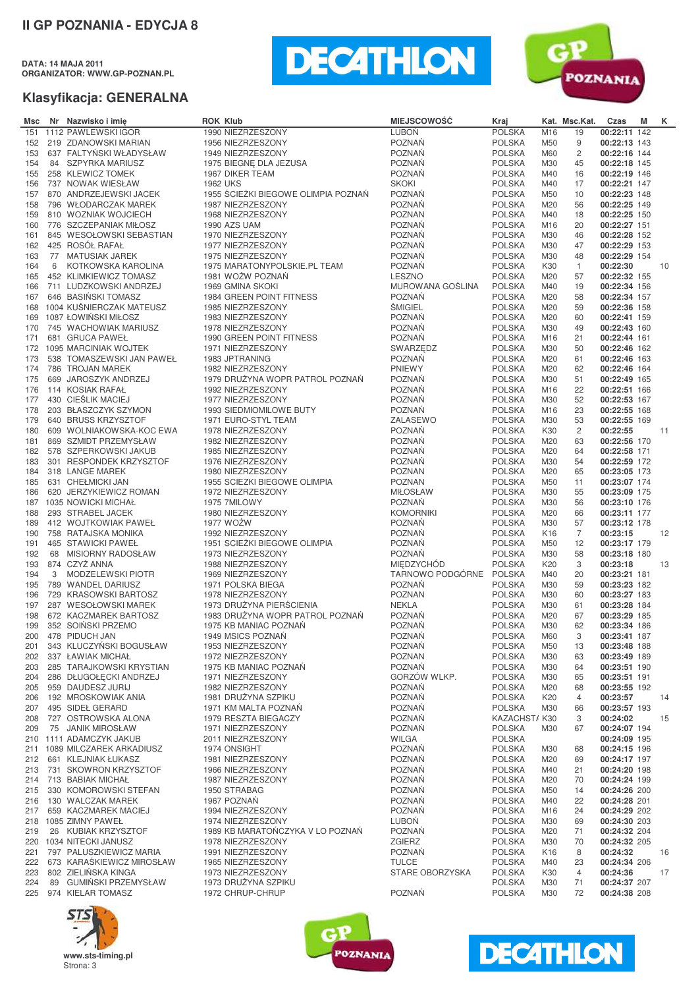**DATA: 14 MAJA 2011 ORGANIZATOR: WWW.GP-POZNAN.PL**





| Msc        |   | Nr Nazwisko i imie                                 | <b>ROK Klub</b>                     | <b>MIEJSCOWOŚĆ</b>               | Kraj                           |                 | Kat. Msc.Kat. | Czas                         | M | K. |
|------------|---|----------------------------------------------------|-------------------------------------|----------------------------------|--------------------------------|-----------------|---------------|------------------------------|---|----|
| 151        |   | 1112 PAWLEWSKI IGOR                                | 1990 NIEZRZESZONY                   | <b>LUBOŃ</b>                     | <b>POLSKA</b>                  | M16             | 19            | 00:22:11 142                 |   |    |
| 152        |   | 219 ZDANOWSKI MARIAN                               | 1956 NIEZRZESZONY                   | <b>POZNAŃ</b>                    | <b>POLSKA</b>                  | M50             | 9             | 00:22:13 143                 |   |    |
| 153        |   | 637 FALTYŃSKI WŁADYSŁAW                            | 1949 NIEZRZESZONY                   | <b>POZNAŃ</b>                    | <b>POLSKA</b>                  | M60             | 2             | 00:22:16 144                 |   |    |
| 154        |   | 84 SZPYRKA MARIUSZ                                 | 1975 BIEGNE DLA JEZUSA              | <b>POZNAŃ</b>                    | <b>POLSKA</b>                  | M30             | 45            | 00:22:18 145                 |   |    |
| 155        |   | 258 KLEWICZ TOMEK                                  | 1967 DIKER TEAM                     | <b>POZNAŃ</b>                    | <b>POLSKA</b>                  | M40             | 16            | 00:22:19 146                 |   |    |
| 156        |   | 737 NOWAK WIESŁAW                                  | <b>1962 UKS</b>                     | <b>SKOKI</b>                     | <b>POLSKA</b>                  | M40             | 17            | 00:22:21 147                 |   |    |
| 157        |   | 870 ANDRZEJEWSKI JACEK                             | 1955 ŚCIEŻKI BIEGOWE OLIMPIA POZNAŃ | <b>POZNAŃ</b>                    | <b>POLSKA</b>                  | M50             | 10            | 00:22:23 148                 |   |    |
| 158        |   | 796 WŁODARCZAK MAREK                               | 1987 NIEZRZESZONY                   | <b>POZNAŃ</b>                    | <b>POLSKA</b>                  | M20             | 56            | 00:22:25 149                 |   |    |
| 159        |   | 810 WOZNIAK WOJCIECH                               | 1968 NIEZRZESZONY                   | <b>POZNAN</b>                    | <b>POLSKA</b>                  | M40             | 18            | 00:22:25 150                 |   |    |
| 160        |   | 776 SZCZEPANIAK MIŁOSZ                             | 1990 AZS UAM                        | <b>POZNAŃ</b>                    | <b>POLSKA</b>                  | M16             | 20            | 00:22:27 151                 |   |    |
| 161        |   | 845 WESOŁOWSKI SEBASTIAN                           | 1970 NIEZRZESZONY                   | <b>POZNAŃ</b>                    | <b>POLSKA</b>                  | M30             | 46            | 00:22:28 152                 |   |    |
| 162        |   | 425 ROSÓŁ RAFAŁ                                    | 1977 NIEZRZESZONY                   | <b>POZNAŃ</b>                    | <b>POLSKA</b>                  | M30             | 47            | 00:22:29 153                 |   |    |
| 163        |   | 77 MATUSIAK JAREK                                  | 1975 NIEZRZESZONY                   | <b>POZNAŃ</b>                    | <b>POLSKA</b>                  | M30             | 48            | 00:22:29 154                 |   |    |
| 164        | 6 | KOTKOWSKA KAROLINA                                 | 1975 MARATONYPOLSKIE.PL TEAM        | <b>POZNAŃ</b>                    | <b>POLSKA</b>                  | K30             | 1             | 00:22:30                     |   | 10 |
| 165        |   | 452 KLIMKIEWICZ TOMASZ                             | 1981 WOŻW POZNAŃ                    | LESZNO                           | <b>POLSKA</b>                  | M20             | 57            | 00:22:32 155                 |   |    |
| 166        |   | 711 LUDZKOWSKI ANDRZEJ                             | 1969 GMINA SKOKI                    | MUROWANA GOŚLINA                 | <b>POLSKA</b>                  | M40             | 19            | 00:22:34 156                 |   |    |
| 167        |   | 646 BASIŃSKI TOMASZ                                | 1984 GREEN POINT FITNESS            | <b>POZNAŃ</b>                    | <b>POLSKA</b>                  | M20             | 58            | 00:22:34 157                 |   |    |
| 168        |   | 1004 KUŚNIERCZAK MATEUSZ                           | 1985 NIEZRZESZONY                   | <b>ŚMIGIEL</b>                   | <b>POLSKA</b>                  | M20             | 59            | 00:22:36 158                 |   |    |
| 169        |   | 1087 ŁOWIŃSKI MIŁOSZ                               | 1983 NIEZRZESZONY                   | <b>POZNAŃ</b>                    | <b>POLSKA</b>                  | M20             | 60            | 00:22:41 159                 |   |    |
| 170        |   | 745 WACHOWIAK MARIUSZ                              | 1978 NIEZRZESZONY                   | <b>POZNAŃ</b>                    | <b>POLSKA</b>                  | M30             | 49            | 00:22:43 160                 |   |    |
| 171        |   | 681 GRUCA PAWEŁ                                    | 1990 GREEN POINT FITNESS            | <b>POZNAŃ</b>                    | <b>POLSKA</b>                  | M16             | 21            | 00:22:44 161                 |   |    |
| 172        |   | 1095 MARCINIAK WOJTEK                              | 1971 NIEZRZESZONY                   | SWARZEDZ                         | <b>POLSKA</b>                  | M30             | 50            | 00:22:46 162                 |   |    |
| 173        |   | 538 TOMASZEWSKI JAN PAWEŁ                          | 1983 JPTRANING                      | <b>POZNAŃ</b>                    | <b>POLSKA</b>                  | M20             | 61            | 00:22:46 163                 |   |    |
| 174        |   | 786 TROJAN MAREK                                   | 1982 NIEZRZESZONY                   | <b>PNIEWY</b>                    | <b>POLSKA</b>                  | M20             | 62            | 00:22:46 164                 |   |    |
| 175        |   | 669 JAROSZYK ANDRZEJ                               | 1979 DRUŻYNA WOPR PATROL POZNAŃ     | <b>POZNAŃ</b>                    | <b>POLSKA</b>                  | M30             | 51            | 00:22:49 165                 |   |    |
| 176        |   | 114 KOSIAK RAFAŁ                                   | 1992 NIEZRZESZONY                   | <b>POZNAŃ</b>                    | <b>POLSKA</b>                  | M16             | 22            | 00:22:51 166                 |   |    |
| 177        |   | 430 CIEŚLIK MACIEJ                                 | 1977 NIEZRZESZONY                   | <b>POZNAŃ</b>                    | <b>POLSKA</b>                  | M30             | 52            | 00:22:53 167                 |   |    |
| 178        |   | 203 BŁASZCZYK SZYMON                               | 1993 SIEDMIOMILOWE BUTY             | <b>POZNAŃ</b>                    | <b>POLSKA</b>                  | M16             | 23            | 00:22:55 168                 |   |    |
| 179        |   | 640 BRUSS KRZYSZTOF                                | 1971 EURO-STYL TEAM                 | ZALASEWO                         | <b>POLSKA</b>                  | M30             | 53            | 00:22:55 169                 |   |    |
| 180        |   | 609 WOLNIAKOWSKA-KOC EWA                           | 1978 NIEZRZESZONY                   | <b>POZNAŃ</b>                    | <b>POLSKA</b>                  | K30             | 2             | 00:22:55                     |   | 11 |
| 181        |   | 869 SZMIDT PRZEMYSŁAW                              | 1982 NIEZRZESZONY                   | <b>POZNAŃ</b>                    | <b>POLSKA</b>                  | M20             | 63            | 00:22:56 170                 |   |    |
| 182        |   | 578 SZPERKOWSKI JAKUB                              | 1985 NIEZRZESZONY                   | <b>POZNAŃ</b>                    | <b>POLSKA</b>                  | M20             | 64            | 00:22:58 171                 |   |    |
| 183        |   | 301 RESPONDEK KRZYSZTOF                            | 1976 NIEZRZESZONY                   | <b>POZNAŃ</b>                    | <b>POLSKA</b>                  | M30             | 54            | 00:22:59 172                 |   |    |
| 184        |   | 318 LANGE MAREK                                    | 1980 NIEZRZESZONY                   | <b>POZNAN</b>                    | <b>POLSKA</b>                  | M20             | 65            | 00:23:05 173                 |   |    |
| 185        |   | 631 CHEŁMICKI JAN                                  | 1955 SCIEZKI BIEGOWE OLIMPIA        | <b>POZNAN</b>                    | <b>POLSKA</b>                  | M50             | 11            | 00:23:07 174                 |   |    |
| 186<br>187 |   | 620 JERZYKIEWICZ ROMAN<br>1035 NOWICKI MICHAŁ      | 1972 NIEZRZESZONY<br>1975 7MILOWY   | <b>MIŁOSŁAW</b><br><b>POZNAŃ</b> | <b>POLSKA</b><br><b>POLSKA</b> | M30<br>M30      | 55<br>56      | 00:23:09 175<br>00:23:10 176 |   |    |
|            |   | 293 STRABEL JACEK                                  | 1980 NIEZRZESZONY                   | <b>KOMORNIKI</b>                 | <b>POLSKA</b>                  | M20             | 66            | 00:23:11 177                 |   |    |
| 188<br>189 |   | 412 WOJTKOWIAK PAWEŁ                               | 1977 WOŻW                           | <b>POZNAŃ</b>                    | <b>POLSKA</b>                  | M30             | 57            | 00:23:12 178                 |   |    |
| 190        |   | 758 RATAJSKA MONIKA                                | 1992 NIEZRZESZONY                   | <b>POZNAŃ</b>                    | <b>POLSKA</b>                  | K <sub>16</sub> | 7             | 00:23:15                     |   | 12 |
| 191        |   | 465 STAWICKI PAWEŁ                                 | 1951 SCIEŽKI BIEGOWE OLIMPIA        | <b>POZNAŃ</b>                    | <b>POLSKA</b>                  | M50             | 12            | 00:23:17 179                 |   |    |
| 192        |   | 68 MISIORNY RADOSŁAW                               | 1973 NIEZRZESZONY                   | <b>POZNAŃ</b>                    | <b>POLSKA</b>                  | M30             | 58            | 00:23:18 180                 |   |    |
| 193        |   | 874 CZYŻ ANNA                                      | 1988 NIEZRZESZONY                   | <b>MIEDZYCHÓD</b>                | <b>POLSKA</b>                  | K <sub>20</sub> | 3             | 00:23:18                     |   | 13 |
| 194        | 3 | MODZELEWSKI PIOTR                                  | 1969 NIEZRZESZONY                   | TARNOWO PODGÓRNE                 | <b>POLSKA</b>                  | M40             | 20            | 00:23:21 181                 |   |    |
| 195        |   | 789 WANDEL DARIUSZ                                 | 1971 POLSKA BIEGA                   | <b>POZNAŃ</b>                    | <b>POLSKA</b>                  | M30             | 59            | 00:23:23 182                 |   |    |
| 196        |   | 729 KRASOWSKI BARTOSZ                              | 1978 NIEZRZESZONY                   | <b>POZNAN</b>                    | <b>POLSKA</b>                  | M30             | 60            | 00:23:27 183                 |   |    |
| 197        |   | 287 WESOŁOWSKI MAREK                               | 1973 DRUŻYNA PIERŚCIENIA            | <b>NEKLA</b>                     | <b>POLSKA</b>                  | M30             | 61            | 00:23:28 184                 |   |    |
| 198        |   | 672 KACZMAREK BARTOSZ                              | 1983 DRUŻYNA WOPR PATROL POZNAŃ     | <b>POZNAŃ</b>                    | <b>POLSKA</b>                  | M20             | 67            | 00:23:29 185                 |   |    |
| 199        |   | 352 SOIŃSKI PRZEMO                                 | 1975 KB MANIAC POZNAŃ               | <b>POZNAŃ</b>                    | <b>POLSKA</b>                  | M30             | 62            | 00:23:34 186                 |   |    |
|            |   | 200 478 PIDUCH JAN                                 | 1949 MSICS POZNAŃ                   | POZNAŃ                           | <b>POLSKA</b>                  | M60             | 3             | 00:23:41 187                 |   |    |
|            |   | 201 343 KLUCZYNSKI BOGUSŁAW                        | 1953 NIEZRZESZONY                   | <b>POZNAŃ</b>                    | <b>POLSKA</b>                  | M <sub>50</sub> | 13            | 00:23:48 188                 |   |    |
|            |   | 202 337 ŁAWIAK MICHAŁ                              | 1972 NIEZRZESZONY                   | <b>POZNAN</b>                    | <b>POLSKA</b>                  | M30             | 63            | 00:23:49 189                 |   |    |
| 203        |   | 285 TARAJKOWSKI KRYSTIAN                           | 1975 KB MANIAC POZNAŃ               | <b>POZNAŃ</b>                    | <b>POLSKA</b>                  | M30             | 64            | 00:23:51 190                 |   |    |
|            |   | 204 286 DŁUGOŁĘCKI ANDRZEJ                         | 1971 NIEZRZESZONY                   | GORZÓW WLKP.                     | <b>POLSKA</b>                  | M30             | 65            | 00:23:51 191                 |   |    |
|            |   | 205 959 DAUDESZ JURIJ                              | 1982 NIEZRZESZONY                   | <b>POZNAŃ</b>                    | <b>POLSKA</b>                  | M20             | 68            | 00:23:55 192                 |   |    |
| 206        |   | 192 MROSKOWIAK ANIA                                | 1981 DRUŽYNA SZPIKU                 | <b>POZNAŃ</b>                    | <b>POLSKA</b>                  | K20             | 4             | 00:23:57                     |   | 14 |
| 207        |   | 495 SIDEŁ GERARD                                   | 1971 KM MALTA POZNAŃ                | POZNAŃ                           | <b>POLSKA</b>                  | M30             | 66            | 00:23:57 193                 |   |    |
|            |   | 208 727 OSTROWSKA ALONA                            | 1979 RESZTA BIEGACZY                | <b>POZNAŃ</b>                    | KAZACHST/K30                   |                 | 3             | 00:24:02                     |   | 15 |
| 209        |   | 75 JANIK MIROSŁAW                                  | 1971 NIEZRZESZONY                   | <b>POZNAŃ</b>                    | <b>POLSKA</b>                  | M30             | 67            | 00:24:07 194                 |   |    |
|            |   | 210 1111 ADAMCZYK JAKUB                            | 2011 NIEZRZESZONY                   | <b>WILGA</b>                     | <b>POLSKA</b>                  |                 |               | 00:24:09 195                 |   |    |
|            |   | 211 1089 MILCZAREK ARKADIUSZ                       | 1974 ONSIGHT                        | <b>POZNAŃ</b>                    | <b>POLSKA</b>                  | M30             | 68            | 00:24:15 196                 |   |    |
| 212        |   | 661 KLEJNIAK ŁUKASZ                                | 1981 NIEZRZESZONY                   | <b>POZNAŃ</b>                    | <b>POLSKA</b>                  | M20             | 69            | 00:24:17 197                 |   |    |
|            |   | 213 731 SKOWRON KRZYSZTOF                          | 1966 NIEZRZESZONY                   | <b>POZNAŃ</b>                    | <b>POLSKA</b>                  | M40             | 21            | 00:24:20 198<br>00:24:24 199 |   |    |
|            |   | 214 713 BABIAK MICHAŁ<br>215 330 KOMOROWSKI STEFAN | 1987 NIEZRZESZONY<br>1950 STRABAG   | <b>POZNAŃ</b><br><b>POZNAŃ</b>   | <b>POLSKA</b><br><b>POLSKA</b> | M20<br>M50      | 70<br>14      | 00:24:26 200                 |   |    |
|            |   | 216 130 WALCZAK MAREK                              | 1967 POZNAŃ                         | <b>POZNAŃ</b>                    | <b>POLSKA</b>                  | M40             | 22            | 00:24:28 201                 |   |    |
|            |   | 217 659 KACZMAREK MACIEJ                           | 1994 NIEZRZESZONY                   | <b>POZNAŃ</b>                    | <b>POLSKA</b>                  | M16             | 24            | 00:24:29 202                 |   |    |
|            |   | 218 1085 ZIMNY PAWEŁ                               | 1974 NIEZRZESZONY                   | <b>LUBOŃ</b>                     | <b>POLSKA</b>                  | M30             | 69            | 00:24:30 203                 |   |    |
| 219        |   | 26 KUBIAK KRZYSZTOF                                | 1989 KB MARATONCZYKA V LO POZNAŃ    | <b>POZNAŃ</b>                    | <b>POLSKA</b>                  | M20             | 71            | 00:24:32 204                 |   |    |
|            |   | 220 1034 NITECKI JANUSZ                            | 1978 NIEZRZESZONY                   | <b>ZGIERZ</b>                    | <b>POLSKA</b>                  | M30             | 70            | 00:24:32 205                 |   |    |
|            |   | 221 797 PALUSZKIEWICZ MARIA                        | 1991 NIEZRZESZONY                   | POZNAŃ                           | <b>POLSKA</b>                  | K <sub>16</sub> | 8             | 00:24:32                     |   | 16 |
|            |   | 222 673 KARAŚKIEWICZ MIROSŁAW                      | 1965 NIEZRZESZONY                   | <b>TULCE</b>                     | <b>POLSKA</b>                  | M40             | 23            | 00:24:34 206                 |   |    |
| 223        |   | 802 ZIELIŃSKA KINGA                                | 1973 NIEZRZESZONY                   | STARE OBORZYSKA                  | <b>POLSKA</b>                  | K30             | 4             | 00:24:36                     |   | 17 |
| 224        |   | 89 GUMIŃSKI PRZEMYSŁAW                             | 1973 DRUŻYNA SZPIKU                 |                                  | <b>POLSKA</b>                  | M30             | 71            | 00:24:37 207                 |   |    |
|            |   | 225 974 KIELAR TOMASZ                              | 1972 CHRUP-CHRUP                    | POZNAŃ                           | <b>POLSKA</b>                  | M30             | 72            | 00:24:38 208                 |   |    |





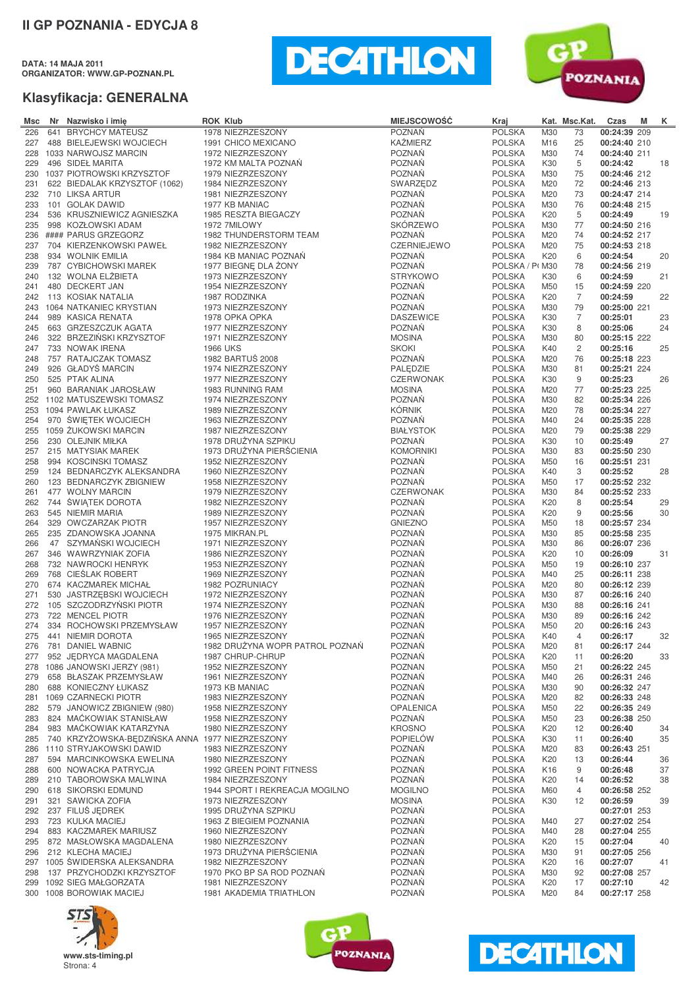**DATA: 14 MAJA 2011 ORGANIZATOR: WWW.GP-POZNAN.PL**





| Msc |    | Nr Nazwisko i imię                              | <b>ROK Klub</b>                        | <b>MIEJSCOWOŚĆ</b> | Kraj                           |                 | Kat. Msc.Kat.  | Czas                         | M | Κ  |
|-----|----|-------------------------------------------------|----------------------------------------|--------------------|--------------------------------|-----------------|----------------|------------------------------|---|----|
| 226 |    | 641 BRYCHCY MATEUSZ                             | 1978 NIEZRZESZONY                      | POZNAŃ             | <b>POLSKA</b>                  | M30             | 73             | 00:24:39 209                 |   |    |
| 227 |    | 488 BIELEJEWSKI WOJCIECH                        | 1991 CHICO MEXICANO                    | <b>KAŹMIERZ</b>    | <b>POLSKA</b>                  | M16             | 25             | 00:24:40 210                 |   |    |
| 228 |    | 1033 NARWOJSZ MARCIN                            | 1972 NIEZRZESZONY                      | POZNAŃ             | <b>POLSKA</b>                  | M30             | 74             | 00:24:40 211                 |   |    |
| 229 |    | 496 SIDEŁ MARITA                                | 1972 KM MALTA POZNAŃ                   | <b>POZNAŃ</b>      | <b>POLSKA</b>                  | K30             | 5              | 00:24:42                     |   | 18 |
|     |    | 230 1037 PIOTROWSKI KRZYSZTOF                   | 1979 NIEZRZESZONY                      | <b>POZNAŃ</b>      | <b>POLSKA</b>                  | M30             | 75             | 00:24:46 212                 |   |    |
| 231 |    | 622 BIEDALAK KRZYSZTOF (1062)                   | 1984 NIEZRZESZONY                      | SWARZEDZ           | <b>POLSKA</b>                  | M20             | 72             | 00:24:46 213                 |   |    |
| 232 |    | 710 LIKSA ARTUR                                 | 1981 NIEZRZESZONY                      | <b>POZNAŃ</b>      | <b>POLSKA</b>                  | M20             | 73             | 00:24:47 214                 |   |    |
| 233 |    | 101 GOLAK DAWID                                 | 1977 KB MANIAC                         | <b>POZNAŃ</b>      | <b>POLSKA</b>                  | M30             | 76             | 00:24:48 215                 |   |    |
| 234 |    | 536 KRUSZNIEWICZ AGNIESZKA                      | 1985 RESZTA BIEGACZY                   | <b>POZNAŃ</b>      | <b>POLSKA</b>                  | K20             | 5              | 00:24:49                     |   | 19 |
| 235 |    | 998 KOZŁOWSKI ADAM                              | 1972 7MILOWY                           | <b>SKÓRZEWO</b>    | <b>POLSKA</b>                  | M30             | 77             | 00:24:50 216                 |   |    |
| 236 |    | #### PARUS GRZEGORZ                             | 1982 THUNDERSTORM TEAM                 | <b>POZNAŃ</b>      | <b>POLSKA</b>                  | M20             | 74             | 00:24:52 217                 |   |    |
| 237 |    | 704 KIERZENKOWSKI PAWEŁ                         | 1982 NIEZRZESZONY                      | <b>CZERNIEJEWO</b> | <b>POLSKA</b>                  | M20             | 75             | 00:24:53 218                 |   |    |
| 238 |    | 934 WOLNIK EMILIA                               | 1984 KB MANIAC POZNAŃ                  | <b>POZNAŃ</b>      | <b>POLSKA</b>                  | K20             | 6              | 00:24:54                     |   | 20 |
| 239 |    | 787 CYBICHOWSKI MAREK                           | 1977 BIEGNE DLA ŻONY                   | <b>POZNAŃ</b>      | POLSKA / P(M30                 |                 | 78             | 00:24:56 219                 |   |    |
| 240 |    | 132 WOLNA ELŻBIETA                              | 1973 NIEZRZESZONY                      | <b>STRYKOWO</b>    | <b>POLSKA</b>                  | K30             | 6              | 00:24:59                     |   | 21 |
| 241 |    | 480 DECKERT JAN                                 | 1954 NIEZRZESZONY                      | <b>POZNAŃ</b>      | <b>POLSKA</b>                  | M50             | 15             | 00:24:59 220                 |   |    |
| 242 |    | 113 KOSIAK NATALIA                              | 1987 RODZINKA                          | <b>POZNAŃ</b>      | <b>POLSKA</b>                  | K20             | $\overline{7}$ | 00:24:59                     |   | 22 |
| 243 |    | 1064 NATKANIEC KRYSTIAN                         | 1973 NIEZRZESZONY                      | <b>POZNAŃ</b>      | <b>POLSKA</b>                  | M30             | 79             | 00:25:00 221                 |   |    |
| 244 |    | 989 KASICA RENATA                               | 1978 OPKA OPKA                         | <b>DASZEWICE</b>   | <b>POLSKA</b>                  | K30             | $\overline{7}$ | 00:25:01                     |   | 23 |
| 245 |    | 663 GRZESZCZUK AGATA                            | 1977 NIEZRZESZONY                      | POZNAŃ             | <b>POLSKA</b>                  | K30             | 8              | 00:25:06                     |   | 24 |
| 246 |    | 322 BRZEZIŃSKI KRZYSZTOF                        | 1971 NIEZRZESZONY                      | <b>MOSINA</b>      | <b>POLSKA</b>                  | M30             | 80             | 00:25:15 222                 |   |    |
| 247 |    | 733 NOWAK IRENA                                 | <b>1966 UKS</b>                        | <b>SKOKI</b>       | <b>POLSKA</b>                  | K40             | $\overline{c}$ | 00:25:16                     |   | 25 |
| 248 |    | 757 RATAJCZAK TOMASZ                            | 1982 BARTUŚ 2008                       | POZNAŃ             | <b>POLSKA</b>                  | M20             | 76             | 00:25:18 223                 |   |    |
| 249 |    | 926 GŁADYŚ MARCIN                               | 1974 NIEZRZESZONY                      | PALEDZIE           | <b>POLSKA</b>                  | M30             | 81             | 00:25:21 224                 |   |    |
| 250 |    | 525 PTAK ALINA                                  | 1977 NIEZRZESZONY                      | <b>CZERWONAK</b>   | <b>POLSKA</b>                  | K30             | 9              | 00:25:23                     |   | 26 |
| 251 |    | 960 BARANIAK JAROSŁAW                           | 1983 RUNNING RAM                       | <b>MOSINA</b>      | <b>POLSKA</b>                  | M20             | 77             | 00:25:23 225                 |   |    |
| 252 |    | 1102 MATUSZEWSKI TOMASZ                         | 1974 NIEZRZESZONY                      | POZNAŃ             | <b>POLSKA</b>                  | M30             | 82             | 00:25:34 226                 |   |    |
| 253 |    | 1094 PAWLAK ŁUKASZ                              | 1989 NIEZRZESZONY                      | <b>KÓRNIK</b>      | <b>POLSKA</b>                  | M20             | 78             | 00:25:34 227                 |   |    |
| 254 |    | 970 ŚWIĘTEK WOJCIECH                            |                                        | POZNAŃ             | <b>POLSKA</b>                  | M40             | 24             |                              |   |    |
| 255 |    | 1059 ŻUKOWSKI MARCIN                            | 1963 NIEZRZESZONY<br>1987 NIEZRZESZONY | <b>BIAŁYSTOK</b>   | <b>POLSKA</b>                  | M20             | 79             | 00:25:35 228<br>00:25:38 229 |   |    |
| 256 |    |                                                 | 1978 DRUŻYNA SZPIKU                    | <b>POZNAŃ</b>      |                                | K30             | 10             |                              |   | 27 |
|     |    | 230 OLEJNIK MIŁKA                               |                                        |                    | <b>POLSKA</b><br><b>POLSKA</b> |                 |                | 00:25:49                     |   |    |
| 257 |    | 215 MATYSIAK MAREK                              | 1973 DRUŻYNA PIERŚCIENIA               | <b>KOMORNIKI</b>   |                                | M30             | 83             | 00:25:50 230                 |   |    |
| 258 |    | 994 KOSCINSKI TOMASZ                            | 1952 NIEZRZESZONY                      | <b>POZNAN</b>      | <b>POLSKA</b>                  | M50             | 16             | 00:25:51 231                 |   |    |
| 259 |    | 124 BEDNARCZYK ALEKSANDRA                       | 1960 NIEZRZESZONY                      | <b>POZNAŃ</b>      | <b>POLSKA</b>                  | K40             | 3              | 00:25:52                     |   | 28 |
| 260 |    | 123 BEDNARCZYK ZBIGNIEW                         | 1958 NIEZRZESZONY                      | <b>POZNAŃ</b>      | <b>POLSKA</b>                  | M50             | 17             | 00:25:52 232                 |   |    |
| 261 |    | 477 WOLNY MARCIN                                | 1979 NIEZRZESZONY                      | <b>CZERWONAK</b>   | <b>POLSKA</b>                  | M30             | 84             | 00:25:52 233                 |   |    |
| 262 |    | 744 ŚWIĄTEK DOROTA                              | 1982 NIEZRZESZONY                      | <b>POZNAŃ</b>      | <b>POLSKA</b>                  | K20             | 8              | 00:25:54                     |   | 29 |
| 263 |    | 545 NIEMIR MARIA                                | 1989 NIEZRZESZONY                      | <b>POZNAŃ</b>      | <b>POLSKA</b>                  | K20             | 9              | 00:25:56                     |   | 30 |
| 264 |    | 329 OWCZARZAK PIOTR                             | 1957 NIEZRZESZONY                      | <b>GNIEZNO</b>     | <b>POLSKA</b>                  | M50             | 18             | 00:25:57 234                 |   |    |
| 265 |    | 235 ZDANOWSKA JOANNA                            | 1975 MIKRAN.PL                         | POZNAŃ             | <b>POLSKA</b>                  | M30             | 85             | 00:25:58 235                 |   |    |
| 266 | 47 | SZYMAŃSKI WOJCIECH                              | 1971 NIEZRZESZONY                      | POZNAŃ             | <b>POLSKA</b>                  | M30             | 86             | 00:26:07 236                 |   |    |
| 267 |    | 346 WAWRZYNIAK ZOFIA                            | 1986 NIEZRZESZONY                      | <b>POZNAŃ</b>      | <b>POLSKA</b>                  | K20             | 10             | 00:26:09                     |   | 31 |
| 268 |    | 732 NAWROCKI HENRYK                             | 1953 NIEZRZESZONY                      | <b>POZNAŃ</b>      | <b>POLSKA</b>                  | M50             | 19             | 00:26:10 237                 |   |    |
| 269 |    | 768 CIESLAK ROBERT                              | 1969 NIEZRZESZONY                      | <b>POZNAŃ</b>      | <b>POLSKA</b>                  | M40             | 25             | 00:26:11 238                 |   |    |
| 270 |    | 674 KACZMAREK MICHAŁ                            | 1982 POZRUNIACY                        | <b>POZNAŃ</b>      | <b>POLSKA</b>                  | M20             | 80             | 00:26:12 239                 |   |    |
| 271 |    | 530 JASTRZĘBSKI WOJCIECH                        | 1972 NIEZRZESZONY                      | <b>POZNAN</b>      | <b>POLSKA</b>                  | M30             | 87             | 00:26:16 240                 |   |    |
| 272 |    | 105 SZCZODRZYŃSKI PIOTR                         | 1974 NIEZRZESZONY                      | <b>POZNAŃ</b>      | <b>POLSKA</b>                  | M30             | 88             | 00:26:16 241                 |   |    |
| 273 |    | 722 MENCEL PIOTR                                | 1976 NIEZRZESZONY                      | <b>POZNAŃ</b>      | <b>POLSKA</b>                  | M30             | 89             | 00:26:16 242                 |   |    |
| 274 |    | 334 ROCHOWSKI PRZEMYSŁAW                        | 1957 NIEZRZESZONY                      | POZNAŃ             | <b>POLSKA</b>                  | M50             | 20             | 00:26:16 243                 |   |    |
| 275 |    | 441 NIEMIR DOROTA                               | 1965 NIEZRZESZONY                      | <b>POZNAŃ</b>      | <b>POLSKA</b>                  | K40             | 4              | 00:26:17                     |   | 32 |
| 276 |    | 781 DANIEL WABNIC                               | 1982 DRUŻYNA WOPR PATROL POZNAŃ        | POZNAŃ             | <b>POLSKA</b>                  | M20             | 81             | 00:26:17 244                 |   |    |
| 277 |    | 952 JEDRYCA MAGDALENA                           | 1987 CHRUP-CHRUP                       | POZNAŃ             | <b>POLSKA</b>                  | K20             | 11             | 00:26:20                     |   | 33 |
| 278 |    | 1086 JANOWSKI JERZY (981)                       | 1952 NIEZRZESZONY                      | <b>POZNAN</b>      | <b>POLSKA</b>                  | M50             | 21             | 00:26:22 245                 |   |    |
| 279 |    | 658 BŁASZAK PRZEMYSŁAW                          | 1961 NIEZRZESZONY                      | POZNAŃ             | <b>POLSKA</b>                  | M40             | 26             | 00:26:31 246                 |   |    |
| 280 |    | 688 KONIECZNY ŁUKASZ                            | 1973 KB MANIAC                         | <b>POZNAŃ</b>      | <b>POLSKA</b>                  | M30             | 90             | 00:26:32 247                 |   |    |
|     |    | 281 1069 CZARNECKI PIOTR                        | 1983 NIEZRZESZONY                      | <b>POZNAŃ</b>      | <b>POLSKA</b>                  | M20             | 82             | 00:26:33 248                 |   |    |
| 282 |    | 579 JANOWICZ ZBIGNIEW (980)                     | 1958 NIEZRZESZONY                      | <b>OPALENICA</b>   | <b>POLSKA</b>                  | M50             | 22             | 00:26:35 249                 |   |    |
| 283 |    | 824 MAĆKOWIAK STANISŁAW                         | 1958 NIEZRZESZONY                      | <b>POZNAŃ</b>      | <b>POLSKA</b>                  | M50             | 23             | 00:26:38 250                 |   |    |
| 284 |    | 983 MAĆKOWIAK KATARZYNA                         | 1980 NIEZRZESZONY                      | <b>KROSNO</b>      | <b>POLSKA</b>                  | K20             | 12             | 00:26:40                     |   | 34 |
| 285 |    | 740 KRZYŻOWSKA-BĘDZIŃSKA ANNA 1977 NIEZRZESZONY |                                        | <b>POPIELÓW</b>    | <b>POLSKA</b>                  | K30             | 11             | 00:26:40                     |   | 35 |
| 286 |    | 1110 STRYJAKOWSKI DAWID                         | 1983 NIEZRZESZONY                      | <b>POZNAŃ</b>      | <b>POLSKA</b>                  | M20             | 83             | 00:26:43 251                 |   |    |
| 287 |    | 594 MARCINKOWSKA EWELINA                        | 1980 NIEZRZESZONY                      | POZNAŃ             | <b>POLSKA</b>                  | K20             | 13             | 00:26:44                     |   | 36 |
| 288 |    | 600 NOWACKA PATRYCJA                            | 1992 GREEN POINT FITNESS               | <b>POZNAŃ</b>      | <b>POLSKA</b>                  | K <sub>16</sub> | 9              | 00:26:48                     |   | 37 |
| 289 |    | 210 TABOROWSKA MALWINA                          | 1984 NIEZRZESZONY                      | POZNAŃ             | <b>POLSKA</b>                  | K20             | 14             | 00:26:52                     |   | 38 |
| 290 |    | 618 SIKORSKI EDMUND                             | 1944 SPORT I REKREACJA MOGILNO         | <b>MOGILNO</b>     | <b>POLSKA</b>                  | M60             | 4              | 00:26:58 252                 |   |    |
| 291 |    | 321 SAWICKA ZOFIA                               | 1973 NIEZRZESZONY                      | <b>MOSINA</b>      | <b>POLSKA</b>                  | K30             | 12             | 00:26:59                     |   | 39 |
| 292 |    | 237 FILUS JEDREK                                | 1995 DRUŻYNA SZPIKU                    | POZNAŃ             | <b>POLSKA</b>                  |                 |                | 00:27:01 253                 |   |    |
|     |    | 723 KULKA MACIEJ                                | 1963 Z BIEGIEM POZNANIA                | <b>POZNAŃ</b>      |                                |                 |                |                              |   |    |
| 293 |    |                                                 |                                        |                    | <b>POLSKA</b>                  | M40             | 27             | 00:27:02 254                 |   |    |
| 294 |    | 883 KACZMAREK MARIUSZ                           | 1960 NIEZRZESZONY                      | <b>POZNAŃ</b>      | <b>POLSKA</b>                  | M40             | 28             | 00:27:04 255                 |   |    |
| 295 |    | 872 MASŁOWSKA MAGDALENA                         | 1980 NIEZRZESZONY                      | <b>POZNAN</b>      | <b>POLSKA</b>                  | K20             | 15             | 00:27:04                     |   | 40 |
| 296 |    | 212 KLECHA MACIEJ                               | 1973 DRUŻYNA PIERŚCIENIA               | <b>POZNAŃ</b>      | <b>POLSKA</b>                  | M30             | 91             | 00:27:05 256                 |   |    |
|     |    | 297 1005 ŚWIDERSKA ALEKSANDRA                   | 1982 NIEZRZESZONY                      | <b>POZNAŃ</b>      | <b>POLSKA</b>                  | K20             | 16             | 00:27:07                     |   | 41 |
| 298 |    | 137 PRZYCHODZKI KRZYSZTOF                       | 1970 PKO BP SA ROD POZNAŃ              | <b>POZNAŃ</b>      | <b>POLSKA</b>                  | M30             | 92             | 00:27:08 257                 |   |    |
| 299 |    | 1092 SIEG MAŁGORZATA                            | 1981 NIEZRZESZONY                      | <b>POZNAŃ</b>      | <b>POLSKA</b>                  | K20             | 17             | 00:27:10                     |   | 42 |
|     |    | 300 1008 BOROWIAK MACIEJ                        | 1981 AKADEMIA TRIATHLON                | POZNAŃ             | <b>POLSKA</b>                  | M20             | 84             | 00:27:17 258                 |   |    |





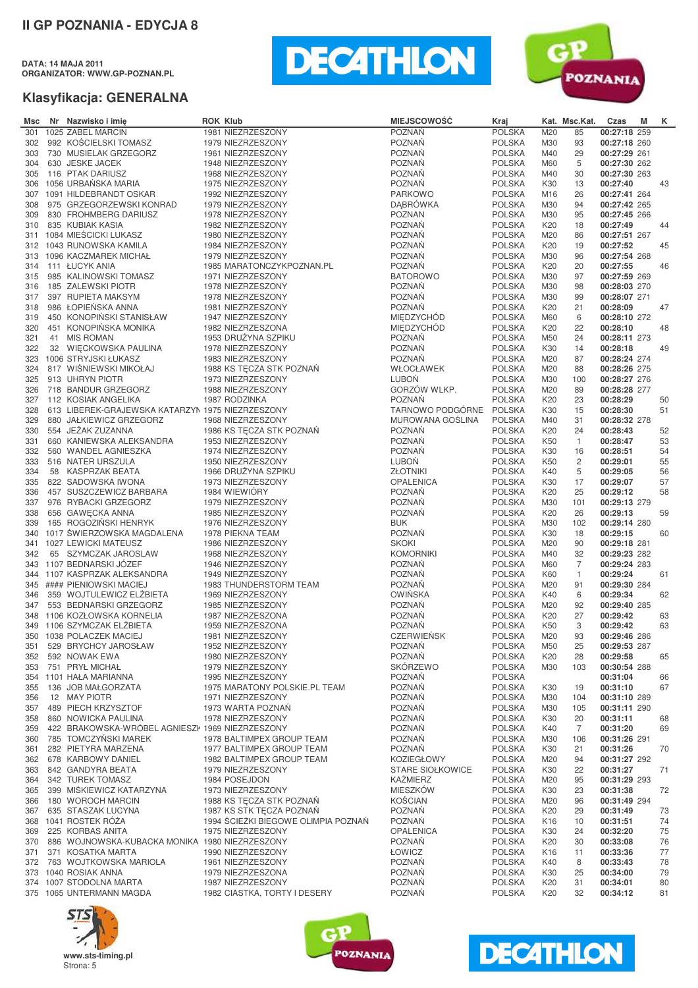**DATA: 14 MAJA 2011 ORGANIZATOR: WWW.GP-POZNAN.PL**





| Msc        | Nr Nazwisko i imię                                 | <b>ROK Klub</b> |                                                      | <b>MIEJSCOWOŚĆ</b>                     | Kraj                           |                 | Kat. Msc.Kat.     | Czas                         | M | K.       |
|------------|----------------------------------------------------|-----------------|------------------------------------------------------|----------------------------------------|--------------------------------|-----------------|-------------------|------------------------------|---|----------|
| 301        | 1025 ZABEL MARCIN                                  |                 | 1981 NIEZRZESZONY                                    | <b>POZNAŃ</b>                          | <b>POLSKA</b>                  | M20             | 85                | 00:27:18 259                 |   |          |
| 302        | 992 KOŚCIELSKI TOMASZ                              |                 | 1979 NIEZRZESZONY                                    | <b>POZNAŃ</b>                          | <b>POLSKA</b>                  | M30             | 93                | 00:27:18 260                 |   |          |
| 303        | 730 MUSIELAK GRZEGORZ                              |                 | 1961 NIEZRZESZONY                                    | <b>POZNAŃ</b>                          | <b>POLSKA</b>                  | M40             | 29                | 00:27:29 261                 |   |          |
| 304        | 630 JESKE JACEK                                    |                 | 1948 NIEZRZESZONY                                    | <b>POZNAŃ</b>                          | <b>POLSKA</b>                  | M60             | 5                 | 00:27:30 262                 |   |          |
| 305        | 116 PTAK DARIUSZ                                   |                 | 1968 NIEZRZESZONY                                    | <b>POZNAŃ</b>                          | <b>POLSKA</b>                  | M40             | 30                | 00:27:30 263                 |   |          |
| 306        | 1056 URBAŃSKA MARIA                                |                 | 1975 NIEZRZESZONY                                    | <b>POZNAŃ</b>                          | <b>POLSKA</b>                  | K30             | 13                | 00:27:40                     |   | 43       |
| 307<br>308 | 1091 HILDEBRANDT OSKAR<br>975 GRZEGORZEWSKI KONRAD |                 | 1992 NIEZRZESZONY<br>1979 NIEZRZESZONY               | <b>PARKOWO</b><br><b>DABRÓWKA</b>      | <b>POLSKA</b>                  | M16<br>M30      | 26<br>94          | 00:27:41 264                 |   |          |
| 309        | 830 FROHMBERG DARIUSZ                              |                 | 1978 NIEZRZESZONY                                    | <b>POZNAN</b>                          | <b>POLSKA</b><br><b>POLSKA</b> | M30             | 95                | 00:27:42 265<br>00:27:45 266 |   |          |
| 310        | 835 KUBIAK KASIA                                   |                 | 1982 NIEZRZESZONY                                    | POZNAŃ                                 | <b>POLSKA</b>                  | K20             | 18                | 00:27:49                     |   | 44       |
| 311        | 1084 MIEŚCICKI LUKASZ                              |                 | 1980 NIEZRZESZONY                                    | <b>POZNAŃ</b>                          | <b>POLSKA</b>                  | M20             | 86                | 00:27:51 267                 |   |          |
| 312        | 1043 RUNOWSKA KAMILA                               |                 | 1984 NIEZRZESZONY                                    | <b>POZNAŃ</b>                          | <b>POLSKA</b>                  | K20             | 19                | 00:27:52                     |   | 45       |
| 313        | 1096 KACZMAREK MICHAŁ                              |                 | 1979 NIEZRZESZONY                                    | <b>POZNAŃ</b>                          | <b>POLSKA</b>                  | M30             | 96                | 00:27:54 268                 |   |          |
| 314        | 111 ŁUCYK ANIA                                     |                 | 1985 MARATONCZYKPOZNAN.PL                            | <b>POZNAN</b>                          | <b>POLSKA</b>                  | K20             | 20                | 00:27:55                     |   | 46       |
| 315        | 985 KALINOWSKI TOMASZ                              |                 | 1971 NIEZRZESZONY                                    | <b>BATOROWO</b>                        | <b>POLSKA</b>                  | M30             | 97                | 00:27:59 269                 |   |          |
| 316        | 185 ZALEWSKI PIOTR                                 |                 | 1978 NIEZRZESZONY                                    | <b>POZNAŃ</b>                          | <b>POLSKA</b>                  | M30             | 98                | 00:28:03 270                 |   |          |
| 317        | 397 RUPIETA MAKSYM                                 |                 | 1978 NIEZRZESZONY                                    | <b>POZNAŃ</b>                          | <b>POLSKA</b>                  | M30             | 99                | 00:28:07 271                 |   |          |
| 318        | 986 ŁOPIEŃSKA ANNA                                 |                 | 1981 NIEZRZESZONY                                    | <b>POZNAŃ</b>                          | <b>POLSKA</b>                  | K20             | 21                | 00:28:09                     |   | 47       |
| 319<br>320 | 450 KONOPIŃSKI STANISŁAW<br>451 KONOPIŃSKA MONIKA  |                 | 1947 NIEZRZESZONY<br>1982 NIEZRZESZONA               | <b>MIEDZYCHÓD</b><br><b>MIEDZYCHÓD</b> | <b>POLSKA</b><br><b>POLSKA</b> | M60<br>K20      | 6<br>22           | 00:28:10 272<br>00:28:10     |   | 48       |
| 321        | 41 MIS ROMAN                                       |                 | 1953 DRUŽYNA SZPIKU                                  | <b>POZNAŃ</b>                          | <b>POLSKA</b>                  | M50             | 24                | 00:28:11 273                 |   |          |
| 322        | 32 WIĘCKOWSKA PAULINA                              |                 | 1978 NIEZRZESZONY                                    | <b>POZNAŃ</b>                          | <b>POLSKA</b>                  | K30             | 14                | 00:28:18                     |   | 49       |
| 323        | 1006 STRYJSKI ŁUKASZ                               |                 | 1983 NIEZRZESZONY                                    | <b>POZNAŃ</b>                          | <b>POLSKA</b>                  | M20             | 87                | 00:28:24 274                 |   |          |
| 324        | 817 WIŚNIEWSKI MIKOŁAJ                             |                 | 1988 KS TECZA STK POZNAŃ                             | WŁOCŁAWEK                              | <b>POLSKA</b>                  | M20             | 88                | 00:28:26 275                 |   |          |
| 325        | 913 UHRYN PIOTR                                    |                 | 1973 NIEZRZESZONY                                    | LUBON                                  | <b>POLSKA</b>                  | M30             | 100               | 00:28:27 276                 |   |          |
| 326        | 718 BANDUR GRZEGORZ                                |                 | 1988 NIEZRZESZONY                                    | GORZÓW WLKP.                           | <b>POLSKA</b>                  | M20             | 89                | 00:28:28 277                 |   |          |
| 327        | 112 KOSIAK ANGELIKA                                |                 | 1987 RODZINKA                                        | <b>POZNAN</b>                          | <b>POLSKA</b>                  | K20             | 23                | 00:28:29                     |   | 50       |
| 328        | 613 LIBEREK-GRAJEWSKA KATARZYN 1975 NIEZRZESZONY   |                 |                                                      | TARNOWO PODGÓRNE                       | <b>POLSKA</b>                  | K30             | 15                | 00:28:30                     |   | 51       |
| 329        | 880 JAŁKIEWICZ GRZEGORZ                            |                 | 1968 NIEZRZESZONY                                    | MUROWANA GOSLINA                       | <b>POLSKA</b>                  | M40             | 31                | 00:28:32 278                 |   |          |
| 330        | 554 JEŻAK ZUZANNA                                  |                 | 1986 KS TECZA STK POZNAŃ                             | <b>POZNAŃ</b>                          | <b>POLSKA</b>                  | K20             | 24                | 00:28:43                     |   | 52       |
| 331        | 660 KANIEWSKA ALEKSANDRA                           |                 | 1953 NIEZRZESZONY                                    | <b>POZNAŃ</b>                          | <b>POLSKA</b>                  | K50             | $\overline{1}$    | 00:28:47                     |   | 53       |
| 332<br>333 | 560 WANDEL AGNIESZKA<br>516 NATER URSZULA          |                 | 1974 NIEZRZESZONY<br>1950 NIEZRZESZONY               | <b>POZNAŃ</b><br>LUBOŃ                 | <b>POLSKA</b><br><b>POLSKA</b> | K30<br>K50      | 16<br>2           | 00:28:51<br>00:29:01         |   | 54<br>55 |
| 334        | 58 KASPRZAK BEATA                                  |                 | 1966 DRUŽYNA SZPIKU                                  | <b>ZŁOTNIKI</b>                        | <b>POLSKA</b>                  | K40             | 5                 | 00:29:05                     |   | 56       |
| 335        | 822 SADOWSKA IWONA                                 |                 | 1973 NIEZRZESZONY                                    | <b>OPALENICA</b>                       | <b>POLSKA</b>                  | K30             | 17                | 00:29:07                     |   | 57       |
| 336        | 457 SUSZCZEWICZ BARBARA                            |                 | 1984 WIEWIÓRY                                        | <b>POZNAŃ</b>                          | <b>POLSKA</b>                  | K20             | 25                | 00:29:12                     |   | 58       |
| 337        | 976 RYBACKI GRZEGORZ                               |                 | 1979 NIEZRZESZONY                                    | <b>POZNAŃ</b>                          | <b>POLSKA</b>                  | M30             | 101               | 00:29:13 279                 |   |          |
| 338        | 656 GAWECKA ANNA                                   |                 | 1985 NIEZRZESZONY                                    | <b>POZNAŃ</b>                          | <b>POLSKA</b>                  | K20             | 26                | 00:29:13                     |   | 59       |
| 339        | 165 ROGOZIŃSKI HENRYK                              |                 | 1976 NIEZRZESZONY                                    | <b>BUK</b>                             | <b>POLSKA</b>                  | M30             | 102               | 00:29:14 280                 |   |          |
| 340        | 1017 ŚWIERZOWSKA MAGDALENA                         |                 | 1978 PIEKNA TEAM                                     | <b>POZNAŃ</b>                          | <b>POLSKA</b>                  | K30             | 18                | 00:29:15                     |   | 60       |
| 341        | 1027 LEWICKI MATEUSZ                               |                 | 1986 NIEZRZESZONY                                    | <b>SKOKI</b>                           | <b>POLSKA</b>                  | M20             | 90                | 00:29:18 281                 |   |          |
| 342        | 65 SZYMCZAK JAROSLAW                               |                 | 1968 NIEZRZESZONY                                    | <b>KOMORNIKI</b><br><b>POZNAŃ</b>      | <b>POLSKA</b>                  | M40             | 32                | 00:29:23 282                 |   |          |
| 343<br>344 | 1107 BEDNARSKI JÓZEF<br>1107 KASPRZAK ALEKSANDRA   |                 | 1946 NIEZRZESZONY<br>1949 NIEZRZESZONY               | <b>POZNAŃ</b>                          | <b>POLSKA</b><br><b>POLSKA</b> | M60<br>K60      | 7<br>$\mathbf{1}$ | 00:29:24 283<br>00:29:24     |   | 61       |
| 345        | #### PIENIOWSKI MACIEJ                             |                 | 1983 THUNDERSTORM TEAM                               | <b>POZNAŃ</b>                          | <b>POLSKA</b>                  | M20             | 91                | 00:29:30 284                 |   |          |
| 346        | 359 WOJTULEWICZ ELŻBIETA                           |                 | 1969 NIEZRZESZONY                                    | <b>OWIŃSKA</b>                         | <b>POLSKA</b>                  | K40             | 6                 | 00:29:34                     |   | 62       |
| 347        | 553 BEDNARSKI GRZEGORZ                             |                 | 1985 NIEZRZESZONY                                    | <b>POZNAŃ</b>                          | <b>POLSKA</b>                  | M20             | 92                | 00:29:40 285                 |   |          |
| 348        | 1106 KOZŁOWSKA KORNELIA                            |                 | 1987 NIEZRZESZONA                                    | <b>POZNAŃ</b>                          | <b>POLSKA</b>                  | K20             | 27                | 00:29:42                     |   | 63       |
|            | 349 1106 SZYMCZAK ELŻBIETA                         |                 | 1959 NIEZRZESZONA                                    | <b>POZNAŃ</b>                          | <b>POLSKA</b>                  | K50             | 3                 | 00:29:42                     |   | 63       |
|            | 350 1038 POLACZEK MACIEJ                           |                 | 1981 NIEZRZESZONY                                    | CZERWIEŃSK                             | <b>POLSKA</b>                  | M20             | 93                | 00:29:46 286                 |   |          |
| 351        | 529 BRYCHCY JAROSŁAW                               |                 | 1952 NIEZRZESZONY                                    | POZNAŃ                                 | <b>POLSKA</b>                  | M50             | 25                | 00:29:53 287                 |   |          |
|            | 352 592 NOWAK EWA                                  |                 | 1980 NIEZRZESZONY                                    | POZNAŃ                                 | <b>POLSKA</b>                  | K20             | 28                | 00:29:58                     |   | 65       |
| 353        | 751 PRYŁ MICHAŁ<br>354 1101 HAŁA MARIANNA          |                 | 1979 NIEZRZESZONY                                    | SKÓRZEWO<br><b>POZNAŃ</b>              | <b>POLSKA</b>                  | M30             | 103               | 00:30:54 288                 |   |          |
| 355        | 136 JOB MAŁGORZATA                                 |                 | 1995 NIEZRZESZONY<br>1975 MARATONY POLSKIE.PL TEAM   | <b>POZNAŃ</b>                          | <b>POLSKA</b><br><b>POLSKA</b> | K30             | 19                | 00:31:04<br>00:31:10         |   | 66<br>67 |
| 356        | 12 MAY PIOTR                                       |                 | 1971 NIEZRZESZONY                                    | <b>POZNAŃ</b>                          | <b>POLSKA</b>                  | M30             | 104               | 00:31:10 289                 |   |          |
|            | 357 489 PIECH KRZYSZTOF                            |                 | 1973 WARTA POZNAN                                    | POZNAŃ                                 | <b>POLSKA</b>                  | M30             | 105               | 00:31:11 290                 |   |          |
| 358        | 860 NOWICKA PAULINA                                |                 | 1978 NIEZRZESZONY                                    | <b>POZNAŃ</b>                          | <b>POLSKA</b>                  | K30             | 20                | 00:31:11                     |   | 68       |
| 359        | 422 BRAKOWSKA-WRÓBEL AGNIESZK 1969 NIEZRZESZONY    |                 |                                                      | POZNAŃ                                 | <b>POLSKA</b>                  | K40             | 7                 | 00:31:20                     |   | 69       |
| 360        | 785 TOMCZYŃSKI MAREK                               |                 | 1978 BALTIMPEX GROUP TEAM                            | POZNAŃ                                 | <b>POLSKA</b>                  | M30             | 106               | 00:31:26 291                 |   |          |
| 361        | 282 PIETYRA MARZENA                                |                 | 1977 BALTIMPEX GROUP TEAM                            | <b>POZNAŃ</b>                          | <b>POLSKA</b>                  | K30             | 21                | 00:31:26                     |   | 70       |
|            | 362 678 KARBOWY DANIEL                             |                 | 1982 BALTIMPEX GROUP TEAM                            | <b>KOZIEGŁOWY</b>                      | <b>POLSKA</b>                  | M20             | 94                | 00:31:27 292                 |   |          |
| 363        | 842 GANDYRA BEATA                                  |                 | 1979 NIEZRZESZONY                                    | <b>STARE SIOŁKOWICE</b>                | <b>POLSKA</b>                  | K30             | 22                | 00:31:27                     |   | 71       |
| 364        | 342 TUREK TOMASZ                                   |                 | 1984 POSEJDON                                        | <b>KAŻMIERZ</b>                        | <b>POLSKA</b>                  | M20             | 95                | 00:31:29 293                 |   |          |
| 365        | 399 MISKIEWICZ KATARZYNA                           |                 | 1973 NIEZRZESZONY                                    | <b>MIESZKOW</b><br>KOŚCIAN             | <b>POLSKA</b>                  | K30             | 23                | 00:31:38                     |   | 72       |
| 366<br>367 | 180 WOROCH MARCIN<br>635 STASZAK LUCYNA            |                 | 1988 KS TECZA STK POZNAŃ<br>1987 KS STK TECZA POZNAŃ | <b>POZNAŃ</b>                          | <b>POLSKA</b><br><b>POLSKA</b> | M20<br>K20      | 96<br>29          | 00:31:49 294<br>00:31:49     |   | 73       |
| 368        | 1041 ROSTEK RÓŻA                                   |                 | 1994 ŚCIEŻKI BIEGOWE OLIMPIA POZNAŃ                  | <b>POZNAŃ</b>                          | <b>POLSKA</b>                  | K <sub>16</sub> | 10                | 00:31:51                     |   | 74       |
| 369        | 225 KORBAS ANITA                                   |                 | 1975 NIEZRZESZONY                                    | <b>OPALENICA</b>                       | <b>POLSKA</b>                  | K30             | 24                | 00:32:20                     |   | 75       |
| 370        | 886 WOJNOWSKA-KUBACKA MONIKA 1980 NIEZRZESZONY     |                 |                                                      | <b>POZNAŃ</b>                          | <b>POLSKA</b>                  | K20             | 30                | 00:33:08                     |   | 76       |
| 371        | 371 KOSATKA MARTA                                  |                 | 1990 NIEZRZESZONY                                    | <b>ŁOWICZ</b>                          | <b>POLSKA</b>                  | K16             | 11                | 00:33:36                     |   | 77       |
| 372        | 763 WOJTKOWSKA MARIOLA                             |                 | 1961 NIEZRZESZONY                                    | POZNAŃ                                 | <b>POLSKA</b>                  | K40             | 8                 | 00:33:43                     |   | 78       |
|            | 373 1040 ROSIAK ANNA                               |                 | 1979 NIEZRZESZONA                                    | <b>POZNAŃ</b>                          | <b>POLSKA</b>                  | K30             | 25                | 00:34:00                     |   | 79       |
|            | 374 1007 STODOLNA MARTA                            |                 | 1987 NIEZRZESZONY                                    | <b>POZNAŃ</b>                          | <b>POLSKA</b>                  | K20             | 31                | 00:34:01                     |   | 80       |
|            | 375 1065 UNTERMANN MAGDA                           |                 | 1982 CIASTKA, TORTY I DESERY                         | <b>POZNAŃ</b>                          | <b>POLSKA</b>                  | K20             | 32                | 00:34:12                     |   | 81       |